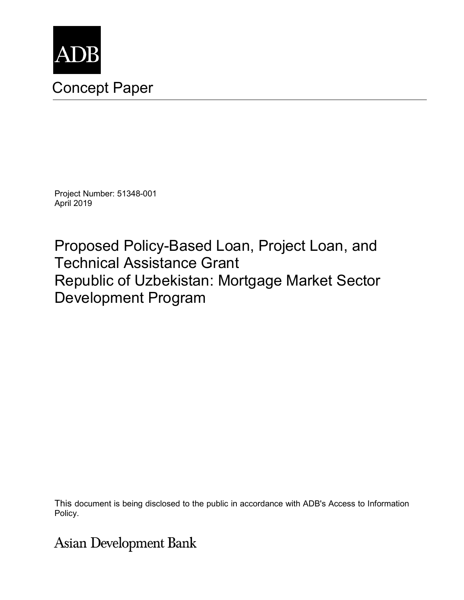

# Concept Paper

Project Number: 51348-001 April 2019

Proposed Policy-Based Loan, Project Loan, and Technical Assistance Grant Republic of Uzbekistan: Mortgage Market Sector Development Program

This document is being disclosed to the public in accordance with ADB's Access to Information Policy.

**Asian Development Bank**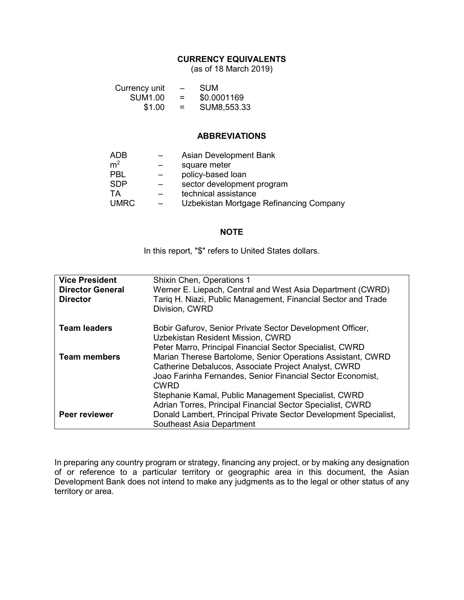#### **CURRENCY EQUIVALENTS**

(as of 18 March 2019)

| Currency unit  | $\overline{\phantom{0}}$ | <b>SUM</b>  |
|----------------|--------------------------|-------------|
| <b>SUM1.00</b> | $=$                      | \$0.0001169 |
| \$1.00         | $=$                      | SUM8,553.33 |

#### **ABBREVIATIONS**

| ADB<br>m <sup>2</sup><br>PBL<br><b>SDP</b><br>ТA | Asian Development Bank<br>square meter<br>policy-based loan<br>sector development program<br>technical assistance |
|--------------------------------------------------|-------------------------------------------------------------------------------------------------------------------|
| <b>UMRC</b>                                      | Uzbekistan Mortgage Refinancing Company                                                                           |

#### **NOTE**

In this report, "\$" refers to United States dollars.

| <b>Vice President</b>   | <b>Shixin Chen, Operations 1</b>                                                                                    |  |  |
|-------------------------|---------------------------------------------------------------------------------------------------------------------|--|--|
| <b>Director General</b> | Werner E. Liepach, Central and West Asia Department (CWRD)                                                          |  |  |
| <b>Director</b>         | Tariq H. Niazi, Public Management, Financial Sector and Trade<br>Division, CWRD                                     |  |  |
| <b>Team leaders</b>     | Bobir Gafurov, Senior Private Sector Development Officer,                                                           |  |  |
|                         | Uzbekistan Resident Mission, CWRD                                                                                   |  |  |
|                         | Peter Marro, Principal Financial Sector Specialist, CWRD                                                            |  |  |
| <b>Team members</b>     | Marian Therese Bartolome, Senior Operations Assistant, CWRD<br>Catherine Debalucos, Associate Project Analyst, CWRD |  |  |
|                         | Joao Farinha Fernandes, Senior Financial Sector Economist,                                                          |  |  |
|                         | <b>CWRD</b>                                                                                                         |  |  |
|                         | Stephanie Kamal, Public Management Specialist, CWRD                                                                 |  |  |
|                         | Adrian Torres, Principal Financial Sector Specialist, CWRD                                                          |  |  |
| <b>Peer reviewer</b>    | Donald Lambert, Principal Private Sector Development Specialist,                                                    |  |  |
|                         | Southeast Asia Department                                                                                           |  |  |

In preparing any country program or strategy, financing any project, or by making any designation of or reference to a particular territory or geographic area in this document, the Asian Development Bank does not intend to make any judgments as to the legal or other status of any territory or area.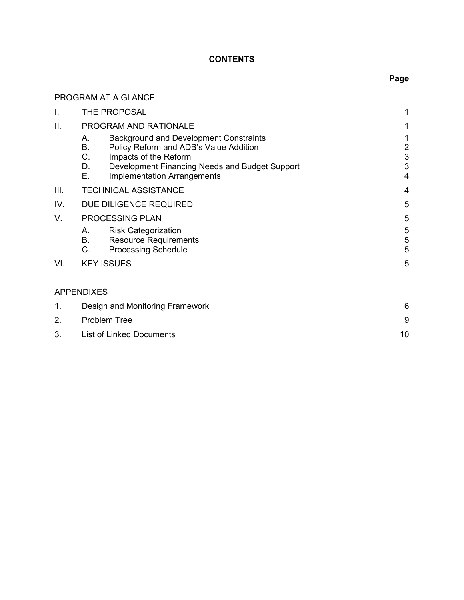## **CONTENTS**

PROGRAM AT A GLANCE

# **Page**

| I.   | THE PROPOSAL                                                                                                                                                                                                                           | 1                                  |  |
|------|----------------------------------------------------------------------------------------------------------------------------------------------------------------------------------------------------------------------------------------|------------------------------------|--|
| II.  | PROGRAM AND RATIONALE                                                                                                                                                                                                                  |                                    |  |
|      | <b>Background and Development Constraints</b><br>А.<br>Β.<br>Policy Reform and ADB's Value Addition<br>C.<br>Impacts of the Reform<br>D.<br>Development Financing Needs and Budget Support<br>Ε.<br><b>Implementation Arrangements</b> | 1<br>$\overline{c}$<br>3<br>3<br>4 |  |
| III. | <b>TECHNICAL ASSISTANCE</b>                                                                                                                                                                                                            | 4                                  |  |
| IV.  | DUE DILIGENCE REQUIRED                                                                                                                                                                                                                 | 5                                  |  |
| V.   | <b>PROCESSING PLAN</b>                                                                                                                                                                                                                 |                                    |  |
|      | <b>Risk Categorization</b><br>А.<br>В.<br><b>Resource Requirements</b><br>$C_{\cdot}$<br><b>Processing Schedule</b>                                                                                                                    | 5<br>5<br>5                        |  |
| VI.  | <b>KEY ISSUES</b>                                                                                                                                                                                                                      | 5                                  |  |
|      | <b>APPENDIXES</b>                                                                                                                                                                                                                      |                                    |  |
| 1.   | Design and Monitoring Framework                                                                                                                                                                                                        |                                    |  |
| 2.   | <b>Problem Tree</b>                                                                                                                                                                                                                    |                                    |  |
| 3.   | <b>List of Linked Documents</b>                                                                                                                                                                                                        |                                    |  |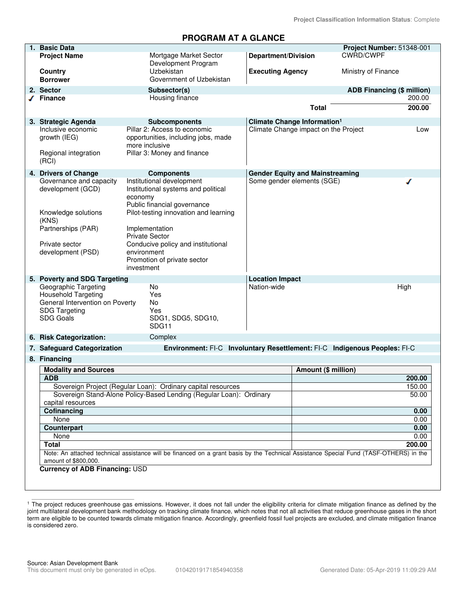**Project Classification Information Status**: Complete

## **PROGRAM AT A GLANCE**

|                                                                                          | 1. Basic Data                                                                                                                             |                                                                                                                                                                                                                                                                                                  |                                         |                     | Project Number: 51348-001         |
|------------------------------------------------------------------------------------------|-------------------------------------------------------------------------------------------------------------------------------------------|--------------------------------------------------------------------------------------------------------------------------------------------------------------------------------------------------------------------------------------------------------------------------------------------------|-----------------------------------------|---------------------|-----------------------------------|
|                                                                                          | <b>Project Name</b>                                                                                                                       | Mortgage Market Sector<br>Development Program                                                                                                                                                                                                                                                    | <b>Department/Division</b>              |                     | <b>CWRD/CWPF</b>                  |
|                                                                                          | Country<br><b>Borrower</b>                                                                                                                | Uzbekistan<br>Government of Uzbekistan                                                                                                                                                                                                                                                           | <b>Executing Agency</b>                 |                     | Ministry of Finance               |
|                                                                                          | 2. Sector                                                                                                                                 | Subsector(s)                                                                                                                                                                                                                                                                                     |                                         |                     | <b>ADB Financing (\$ million)</b> |
|                                                                                          | <b>Finance</b>                                                                                                                            | Housing finance                                                                                                                                                                                                                                                                                  |                                         |                     | 200.00                            |
|                                                                                          |                                                                                                                                           |                                                                                                                                                                                                                                                                                                  |                                         | <b>Total</b>        | 200.00                            |
|                                                                                          | 3. Strategic Agenda                                                                                                                       | <b>Subcomponents</b>                                                                                                                                                                                                                                                                             | Climate Change Information <sup>1</sup> |                     |                                   |
|                                                                                          | Inclusive economic<br>growth (IEG)                                                                                                        | Pillar 2: Access to economic<br>opportunities, including jobs, made<br>more inclusive                                                                                                                                                                                                            | Climate Change impact on the Project    |                     | Low                               |
|                                                                                          | Regional integration<br>(RCI)                                                                                                             | Pillar 3: Money and finance                                                                                                                                                                                                                                                                      |                                         |                     |                                   |
|                                                                                          | 4. Drivers of Change                                                                                                                      | <b>Components</b>                                                                                                                                                                                                                                                                                | <b>Gender Equity and Mainstreaming</b>  |                     |                                   |
|                                                                                          | Governance and capacity<br>development (GCD)<br>Knowledge solutions<br>(KNS)<br>Partnerships (PAR)<br>Private sector<br>development (PSD) | Institutional development<br>Institutional systems and political<br>economy<br>Public financial governance<br>Pilot-testing innovation and learning<br>Implementation<br><b>Private Sector</b><br>Conducive policy and institutional<br>environment<br>Promotion of private sector<br>investment | Some gender elements (SGE)              |                     | ℐ                                 |
|                                                                                          | 5. Poverty and SDG Targeting                                                                                                              |                                                                                                                                                                                                                                                                                                  | <b>Location Impact</b>                  |                     |                                   |
|                                                                                          | Geographic Targeting<br><b>Household Targeting</b><br>General Intervention on Poverty<br><b>SDG Targeting</b><br><b>SDG Goals</b>         | No<br>Yes<br>No<br>Yes<br>SDG1, SDG5, SDG10,<br>SDG11                                                                                                                                                                                                                                            | Nation-wide                             |                     | High                              |
|                                                                                          | 6. Risk Categorization:                                                                                                                   | Complex                                                                                                                                                                                                                                                                                          |                                         |                     |                                   |
|                                                                                          | 7. Safeguard Categorization                                                                                                               | Environment: FI-C Involuntary Resettlement: FI-C Indigenous Peoples: FI-C                                                                                                                                                                                                                        |                                         |                     |                                   |
|                                                                                          | 8. Financing                                                                                                                              |                                                                                                                                                                                                                                                                                                  |                                         |                     |                                   |
|                                                                                          | <b>Modality and Sources</b>                                                                                                               |                                                                                                                                                                                                                                                                                                  |                                         | Amount (\$ million) |                                   |
|                                                                                          | <b>ADB</b>                                                                                                                                |                                                                                                                                                                                                                                                                                                  |                                         |                     | 200.00                            |
| Sovereign Project (Regular Loan): Ordinary capital resources                             |                                                                                                                                           |                                                                                                                                                                                                                                                                                                  | 150.00                                  |                     |                                   |
| Sovereign Stand-Alone Policy-Based Lending (Regular Loan): Ordinary<br>capital resources |                                                                                                                                           |                                                                                                                                                                                                                                                                                                  |                                         | 50.00               |                                   |
|                                                                                          | Cofinancing                                                                                                                               |                                                                                                                                                                                                                                                                                                  |                                         |                     | 0.00                              |
|                                                                                          | None                                                                                                                                      |                                                                                                                                                                                                                                                                                                  |                                         |                     | 0.00                              |
|                                                                                          | Counterpart                                                                                                                               |                                                                                                                                                                                                                                                                                                  |                                         |                     | 0.00                              |
|                                                                                          | None                                                                                                                                      |                                                                                                                                                                                                                                                                                                  |                                         |                     | 0.00                              |
|                                                                                          | <b>Total</b>                                                                                                                              |                                                                                                                                                                                                                                                                                                  |                                         |                     | 200.00                            |
|                                                                                          | amount of \$800,000.                                                                                                                      | Note: An attached technical assistance will be financed on a grant basis by the Technical Assistance Special Fund (TASF-OTHERS) in the                                                                                                                                                           |                                         |                     |                                   |
|                                                                                          | <b>Currency of ADB Financing: USD</b>                                                                                                     |                                                                                                                                                                                                                                                                                                  |                                         |                     |                                   |
|                                                                                          |                                                                                                                                           |                                                                                                                                                                                                                                                                                                  |                                         |                     |                                   |

<sup>1</sup> The project reduces greenhouse gas emissions. However, it does not fall under the eligibility criteria for climate mitigation finance as defined by the joint multilateral development bank methodology on tracking climate finance, which notes that not all activities that reduce greenhouse gases in the short term are eligible to be counted towards climate mitigation finance. Accordingly, greenfield fossil fuel projects are excluded, and climate mitigation finance is considered zero.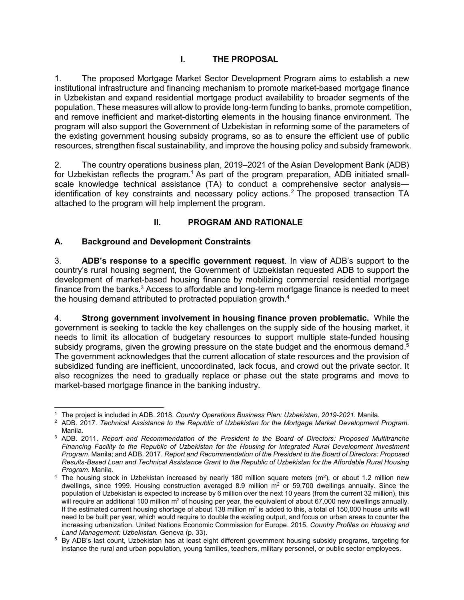1. The proposed Mortgage Market Sector Development Program aims to establish a new institutional infrastructure and financing mechanism to promote market-based mortgage finance in Uzbekistan and expand residential mortgage product availability to broader segments of the population. These measures will allow to provide long-term funding to banks, promote competition, and remove inefficient and market-distorting elements in the housing finance environment. The program will also support the Government of Uzbekistan in reforming some of the parameters of the existing government housing subsidy programs, so as to ensure the efficient use of public resources, strengthen fiscal sustainability, and improve the housing policy and subsidy framework.

2. The country operations business plan, 2019–2021 of the Asian Development Bank (ADB) for Uzbekistan reflects the program.<sup>1</sup> As part of the program preparation, ADB initiated smallscale knowledge technical assistance (TA) to conduct a comprehensive sector analysis identification of key constraints and necessary policy actions.<sup>2</sup> The proposed transaction TA attached to the program will help implement the program.

# **II. PROGRAM AND RATIONALE**

# **A. Background and Development Constraints**

3. **ADB's response to a specific government request**. In view of ADB's support to the country's rural housing segment, the Government of Uzbekistan requested ADB to support the development of market-based housing finance by mobilizing commercial residential mortgage finance from the banks. $^3$  Access to affordable and long-term mortgage finance is needed to meet the housing demand attributed to protracted population growth.<sup>4</sup>

4. **Strong government involvement in housing finance proven problematic.** While the government is seeking to tackle the key challenges on the supply side of the housing market, it needs to limit its allocation of budgetary resources to support multiple state-funded housing subsidy programs, given the growing pressure on the state budget and the enormous demand.<sup>5</sup> The government acknowledges that the current allocation of state resources and the provision of subsidized funding are inefficient, uncoordinated, lack focus, and crowd out the private sector. It also recognizes the need to gradually replace or phase out the state programs and move to market-based mortgage finance in the banking industry.

 $\overline{a}$ 1 The project is included in ADB. 2018. *Country Operations Business Plan: Uzbekistan, 2019-2021.* Manila.

<sup>2</sup> ADB. 2017. *Technical Assistance to the Republic of Uzbekistan for the Mortgage Market Development Program*. Manila.

<sup>3</sup> ADB. 2011. *Report and Recommendation of the President to the Board of Directors: Proposed Multitranche*  Financing Facility to the Republic of Uzbekistan for the Housing for Integrated Rural Development Investment *Program*. Manila; and ADB. 2017. *Report and Recommendation of the President to the Board of Directors: Proposed Results-Based Loan and Technical Assistance Grant to the Republic of Uzbekistan for the Affordable Rural Housing Program.* Manila.

 $4$  The housing stock in Uzbekistan increased by nearly 180 million square meters (m<sup>2</sup>), or about 1.2 million new dwellings, since 1999. Housing construction averaged 8.9 million  $m^2$  or 59,700 dwellings annually. Since the population of Uzbekistan is expected to increase by 6 million over the next 10 years (from the current 32 million), this will require an additional 100 million m<sup>2</sup> of housing per year, the equivalent of about 67,000 new dwellings annually. If the estimated current housing shortage of about 138 million  $m^2$  is added to this, a total of 150,000 house units will need to be built per year, which would require to double the existing output, and focus on urban areas to counter the increasing urbanization. United Nations Economic Commission for Europe. 2015. *Country Profiles on Housing and Land Management: Uzbekistan.* Geneva (p. 33).

 $^5$  By ADB's last count, Uzbekistan has at least eight different government housing subsidy programs, targeting for instance the rural and urban population, young families, teachers, military personnel, or public sector employees.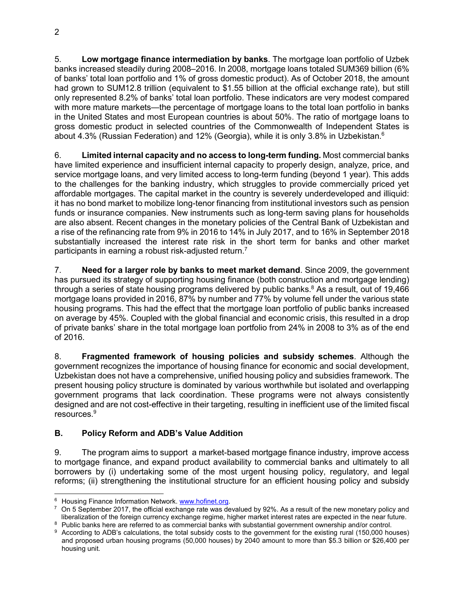5. **Low mortgage finance intermediation by banks**. The mortgage loan portfolio of Uzbek banks increased steadily during 2008–2016. In 2008, mortgage loans totaled SUM369 billion (6% of banks' total loan portfolio and 1% of gross domestic product). As of October 2018, the amount had grown to SUM12.8 trillion (equivalent to \$1.55 billion at the official exchange rate), but still only represented 8.2% of banks' total loan portfolio. These indicators are very modest compared with more mature markets—the percentage of mortgage loans to the total loan portfolio in banks in the United States and most European countries is about 50%. The ratio of mortgage loans to gross domestic product in selected countries of the Commonwealth of Independent States is about 4.3% (Russian Federation) and 12% (Georgia), while it is only 3.8% in Uzbekistan.<sup>6</sup>

6. **Limited internal capacity and no access to long-term funding.** Most commercial banks have limited experience and insufficient internal capacity to properly design, analyze, price, and service mortgage loans, and very limited access to long-term funding (beyond 1 year). This adds to the challenges for the banking industry, which struggles to provide commercially priced yet affordable mortgages. The capital market in the country is severely underdeveloped and illiquid: it has no bond market to mobilize long-tenor financing from institutional investors such as pension funds or insurance companies. New instruments such as long-term saving plans for households are also absent. Recent changes in the monetary policies of the Central Bank of Uzbekistan and a rise of the refinancing rate from 9% in 2016 to 14% in July 2017, and to 16% in September 2018 substantially increased the interest rate risk in the short term for banks and other market participants in earning a robust risk-adjusted return.<sup>7</sup>

7. **Need for a larger role by banks to meet market demand**. Since 2009, the government has pursued its strategy of supporting housing finance (both construction and mortgage lending) through a series of state housing programs delivered by public banks.<sup>8</sup> As a result, out of 19,466 mortgage loans provided in 2016, 87% by number and 77% by volume fell under the various state housing programs. This had the effect that the mortgage loan portfolio of public banks increased on average by 45%. Coupled with the global financial and economic crisis, this resulted in a drop of private banks' share in the total mortgage loan portfolio from 24% in 2008 to 3% as of the end of 2016.

8. **Fragmented framework of housing policies and subsidy schemes**. Although the government recognizes the importance of housing finance for economic and social development, Uzbekistan does not have a comprehensive, unified housing policy and subsidies framework. The present housing policy structure is dominated by various worthwhile but isolated and overlapping government programs that lack coordination. These programs were not always consistently designed and are not cost-effective in their targeting, resulting in inefficient use of the limited fiscal resources.<sup>9</sup>

# **B. Policy Reform and ADB's Value Addition**

9. The program aims to support a market-based mortgage finance industry, improve access to mortgage finance, and expand product availability to commercial banks and ultimately to all borrowers by (i) undertaking some of the most urgent housing policy, regulatory, and legal reforms; (ii) strengthening the institutional structure for an efficient housing policy and subsidy

 <sup>6</sup> Housing Finance Information Network. **www.hofinet.org.** 

 $^7\,$  On 5 September 2017, the official exchange rate was devalued by 92%. As a result of the new monetary policy and liberalization of the foreign currency exchange regime, higher market interest rates are expected in the near future.

 $8$  Public banks here are referred to as commercial banks with substantial government ownership and/or control.

<sup>&</sup>lt;sup>9</sup> According to ADB's calculations, the total subsidy costs to the government for the existing rural (150,000 houses) and proposed urban housing programs (50,000 houses) by 2040 amount to more than \$5.3 billion or \$26,400 per housing unit.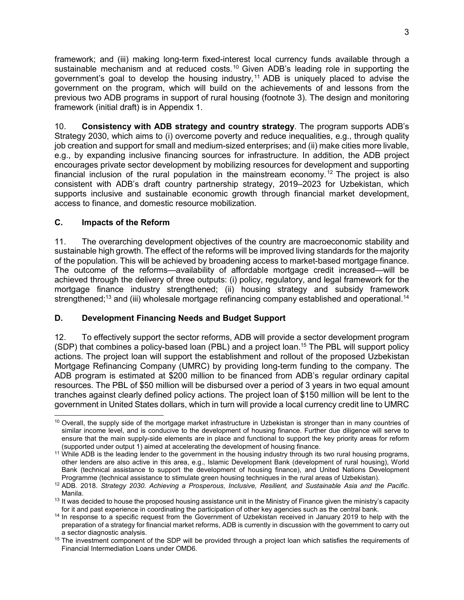framework; and (iii) making long-term fixed-interest local currency funds available through a sustainable mechanism and at reduced costs.<sup>10</sup> Given ADB's leading role in supporting the government's goal to develop the housing industry,<sup>11</sup> ADB is uniquely placed to advise the government on the program, which will build on the achievements of and lessons from the previous two ADB programs in support of rural housing (footnote 3). The design and monitoring framework (initial draft) is in Appendix 1.

10. **Consistency with ADB strategy and country strategy**. The program supports ADB's Strategy 2030, which aims to (i) overcome poverty and reduce inequalities, e.g., through quality job creation and support for small and medium-sized enterprises; and (ii) make cities more livable, e.g., by expanding inclusive financing sources for infrastructure. In addition, the ADB project encourages private sector development by mobilizing resources for development and supporting financial inclusion of the rural population in the mainstream economy.<sup>12</sup> The project is also consistent with ADB's draft country partnership strategy, 2019–2023 for Uzbekistan, which supports inclusive and sustainable economic growth through financial market development, access to finance, and domestic resource mobilization.

#### **C. Impacts of the Reform**

11. The overarching development objectives of the country are macroeconomic stability and sustainable high growth. The effect of the reforms will be improved living standards for the majority of the population. This will be achieved by broadening access to market-based mortgage finance. The outcome of the reforms—availability of affordable mortgage credit increased—will be achieved through the delivery of three outputs: (i) policy, regulatory, and legal framework for the mortgage finance industry strengthened; (ii) housing strategy and subsidy framework strengthened;<sup>13</sup> and (iii) wholesale mortgage refinancing company established and operational.<sup>14</sup>

#### **D. Development Financing Needs and Budget Support**

12. To effectively support the sector reforms, ADB will provide a sector development program (SDP) that combines a policy-based loan (PBL) and a project loan.<sup>15</sup> The PBL will support policy actions. The project loan will support the establishment and rollout of the proposed Uzbekistan Mortgage Refinancing Company (UMRC) by providing long-term funding to the company. The ADB program is estimated at \$200 million to be financed from ADB's regular ordinary capital resources. The PBL of \$50 million will be disbursed over a period of 3 years in two equal amount tranches against clearly defined policy actions. The project loan of \$150 million will be lent to the government in United States dollars, which in turn will provide a local currency credit line to UMRC

  $10$  Overall, the supply side of the mortgage market infrastructure in Uzbekistan is stronger than in many countries of similar income level, and is conducive to the development of housing finance. Further due diligence will serve to ensure that the main supply-side elements are in place and functional to support the key priority areas for reform (supported under output 1) aimed at accelerating the development of housing finance.

<sup>&</sup>lt;sup>11</sup> While ADB is the leading lender to the government in the housing industry through its two rural housing programs, other lenders are also active in this area, e.g., Islamic Development Bank (development of rural housing), World Bank (technical assistance to support the development of housing finance), and United Nations Development Programme (technical assistance to stimulate green housing techniques in the rural areas of Uzbekistan).

<sup>12</sup> ADB. 2018. *Strategy 2030. Achieving a Prosperous, Inclusive, Resilient, and Sustainable Asia and the Pacific*. Manila.

 $13$  It was decided to house the proposed housing assistance unit in the Ministry of Finance given the ministry's capacity for it and past experience in coordinating the participation of other key agencies such as the central bank.

<sup>14</sup> In response to a specific request from the Government of Uzbekistan received in January 2019 to help with the preparation of a strategy for financial market reforms, ADB is currently in discussion with the government to carry out a sector diagnostic analysis.

<sup>&</sup>lt;sup>15</sup> The investment component of the SDP will be provided through a project loan which satisfies the requirements of Financial Intermediation Loans under OMD6*.*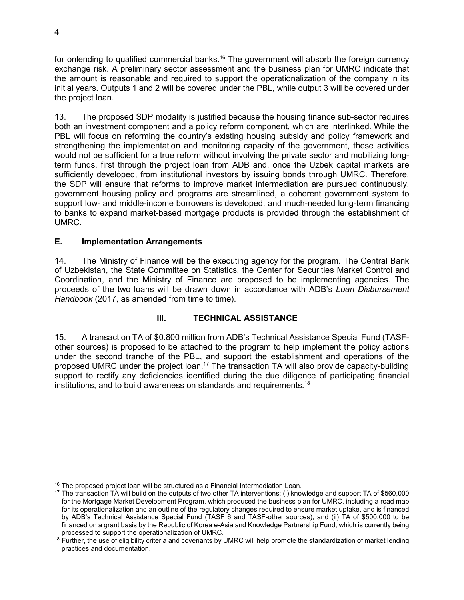for onlending to qualified commercial banks.<sup>16</sup> The government will absorb the foreign currency exchange risk. A preliminary sector assessment and the business plan for UMRC indicate that the amount is reasonable and required to support the operationalization of the company in its initial years. Outputs 1 and 2 will be covered under the PBL, while output 3 will be covered under the project loan.

13. The proposed SDP modality is justified because the housing finance sub-sector requires both an investment component and a policy reform component, which are interlinked. While the PBL will focus on reforming the country's existing housing subsidy and policy framework and strengthening the implementation and monitoring capacity of the government, these activities would not be sufficient for a true reform without involving the private sector and mobilizing longterm funds, first through the project loan from ADB and, once the Uzbek capital markets are sufficiently developed, from institutional investors by issuing bonds through UMRC. Therefore, the SDP will ensure that reforms to improve market intermediation are pursued continuously, government housing policy and programs are streamlined, a coherent government system to support low- and middle-income borrowers is developed, and much-needed long-term financing to banks to expand market-based mortgage products is provided through the establishment of UMRC.

#### **E. Implementation Arrangements**

14. The Ministry of Finance will be the executing agency for the program. The Central Bank of Uzbekistan, the State Committee on Statistics, the Center for Securities Market Control and Coordination, and the Ministry of Finance are proposed to be implementing agencies. The proceeds of the two loans will be drawn down in accordance with ADB's *Loan Disbursement*  Handbook (2017, as amended from time to time).

#### **III. TECHNICAL ASSISTANCE**

15. A transaction TA of \$0.800 million from ADB's Technical Assistance Special Fund (TASFother sources) is proposed to be attached to the program to help implement the policy actions under the second tranche of the PBL, and support the establishment and operations of the proposed UMRC under the project loan.<sup>17</sup> The transaction TA will also provide capacity-building support to rectify any deficiencies identified during the due diligence of participating financial institutions, and to build awareness on standards and requirements.<sup>18</sup>

<sup>-</sup> $16$  The proposed project loan will be structured as a Financial Intermediation Loan.

<sup>&</sup>lt;sup>17</sup> The transaction TA will build on the outputs of two other TA interventions: (i) knowledge and support TA of \$560,000 for the Mortgage Market Development Program, which produced the business plan for UMRC, including a road map for its operationalization and an outline of the regulatory changes required to ensure market uptake, and is financed by ADB's Technical Assistance Special Fund (TASF 6 and TASF-other sources); and (ii) TA of \$500,000 to be financed on a grant basis by the Republic of Korea e-Asia and Knowledge Partnership Fund, which is currently being processed to support the operationalization of UMRC.

<sup>&</sup>lt;sup>18</sup> Further, the use of eligibility criteria and covenants by UMRC will help promote the standardization of market lending practices and documentation.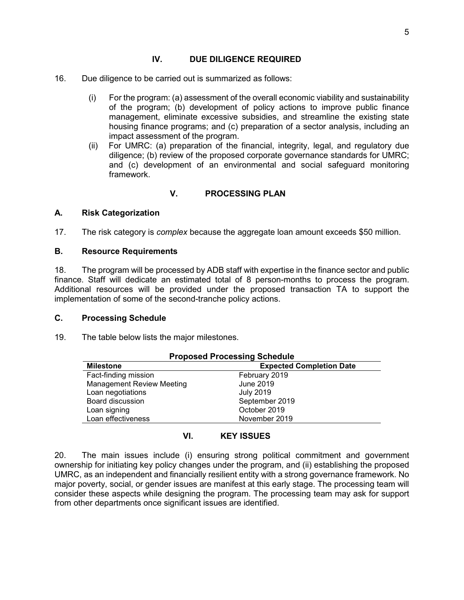#### **IV. DUE DILIGENCE REQUIRED**

- 16. Due diligence to be carried out is summarized as follows:
	- (i) For the program: (a) assessment of the overall economic viability and sustainability of the program; (b) development of policy actions to improve public finance management, eliminate excessive subsidies, and streamline the existing state housing finance programs; and (c) preparation of a sector analysis, including an impact assessment of the program.
	- (ii) For UMRC: (a) preparation of the financial, integrity, legal, and regulatory due diligence; (b) review of the proposed corporate governance standards for UMRC; and (c) development of an environmental and social safeguard monitoring framework.

#### **V. PROCESSING PLAN**

#### **A. Risk Categorization**

17. The risk category is *complex* because the aggregate loan amount exceeds \$50 million.

#### **B. Resource Requirements**

18. The program will be processed by ADB staff with expertise in the finance sector and public finance. Staff will dedicate an estimated total of 8 person-months to process the program. Additional resources will be provided under the proposed transaction TA to support the implementation of some of the second-tranche policy actions.

#### **C. Processing Schedule**

19. The table below lists the major milestones.

| <b>Proposed Processing Schedule</b> |  |  |  |
|-------------------------------------|--|--|--|
| <b>Expected Completion Date</b>     |  |  |  |
| February 2019                       |  |  |  |
| <b>June 2019</b>                    |  |  |  |
| <b>July 2019</b>                    |  |  |  |
| September 2019                      |  |  |  |
| October 2019                        |  |  |  |
| November 2019                       |  |  |  |
|                                     |  |  |  |

#### **VI. KEY ISSUES**

20. The main issues include (i) ensuring strong political commitment and government ownership for initiating key policy changes under the program, and (ii) establishing the proposed UMRC, as an independent and financially resilient entity with a strong governance framework. No major poverty, social, or gender issues are manifest at this early stage. The processing team will consider these aspects while designing the program. The processing team may ask for support from other departments once significant issues are identified.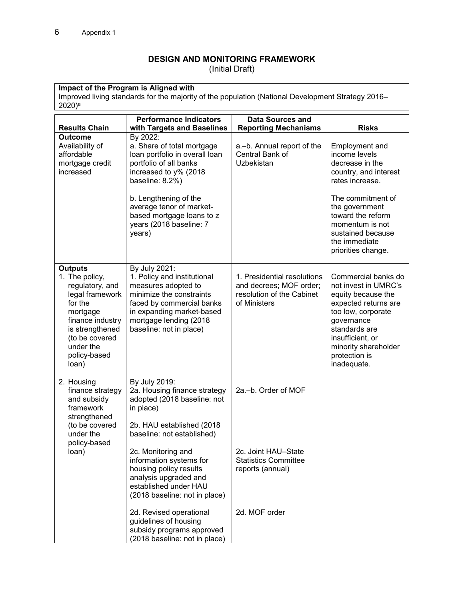## **DESIGN AND MONITORING FRAMEWORK**

(Initial Draft)

**Impact of the Program is Aligned with**  Improved living standards for the majority of the population (National Development Strategy 2016–  $2020)$ <sup>a</sup>

| <b>Results Chain</b>                                                                                                                                                                         | <b>Performance Indicators</b><br>with Targets and Baselines                                                                                                                                                                                                                                                        | Data Sources and<br><b>Reporting Mechanisms</b>                                                     | <b>Risks</b>                                                                                                                                                                                                                                     |
|----------------------------------------------------------------------------------------------------------------------------------------------------------------------------------------------|--------------------------------------------------------------------------------------------------------------------------------------------------------------------------------------------------------------------------------------------------------------------------------------------------------------------|-----------------------------------------------------------------------------------------------------|--------------------------------------------------------------------------------------------------------------------------------------------------------------------------------------------------------------------------------------------------|
| <b>Outcome</b><br>Availability of<br>affordable<br>mortgage credit<br>increased                                                                                                              | By 2022:<br>a. Share of total mortgage<br>loan portfolio in overall loan<br>portfolio of all banks<br>increased to y% (2018<br>baseline: 8.2%)<br>b. Lengthening of the<br>average tenor of market-<br>based mortgage loans to z<br>years (2018 baseline: 7<br>years)                                              | a.-b. Annual report of the<br>Central Bank of<br><b>Uzbekistan</b>                                  | <b>Employment and</b><br>income levels<br>decrease in the<br>country, and interest<br>rates increase.<br>The commitment of<br>the government<br>toward the reform<br>momentum is not<br>sustained because<br>the immediate<br>priorities change. |
| <b>Outputs</b><br>1. The policy,<br>regulatory, and<br>legal framework<br>for the<br>mortgage<br>finance industry<br>is strengthened<br>(to be covered<br>under the<br>policy-based<br>loan) | By July 2021:<br>1. Policy and institutional<br>measures adopted to<br>minimize the constraints<br>faced by commercial banks<br>in expanding market-based<br>mortgage lending (2018<br>baseline: not in place)                                                                                                     | 1. Presidential resolutions<br>and decrees; MOF order;<br>resolution of the Cabinet<br>of Ministers | Commercial banks do<br>not invest in UMRC's<br>equity because the<br>expected returns are<br>too low, corporate<br>governance<br>standards are<br>insufficient, or<br>minority shareholder<br>protection is<br>inadequate.                       |
| 2. Housing<br>finance strategy<br>and subsidy<br>framework<br>strengthened<br>(to be covered<br>under the<br>policy-based<br>loan)                                                           | By July 2019:<br>2a. Housing finance strategy<br>adopted (2018 baseline: not<br>in place)<br>2b. HAU established (2018<br>baseline: not established)<br>2c. Monitoring and<br>information systems for<br>housing policy results<br>analysis upgraded and<br>established under HAU<br>(2018 baseline: not in place) | 2a.-b. Order of MOF<br>2c. Joint HAU-State<br><b>Statistics Committee</b><br>reports (annual)       |                                                                                                                                                                                                                                                  |
|                                                                                                                                                                                              | 2d. Revised operational<br>guidelines of housing<br>subsidy programs approved<br>(2018 baseline: not in place)                                                                                                                                                                                                     | 2d. MOF order                                                                                       |                                                                                                                                                                                                                                                  |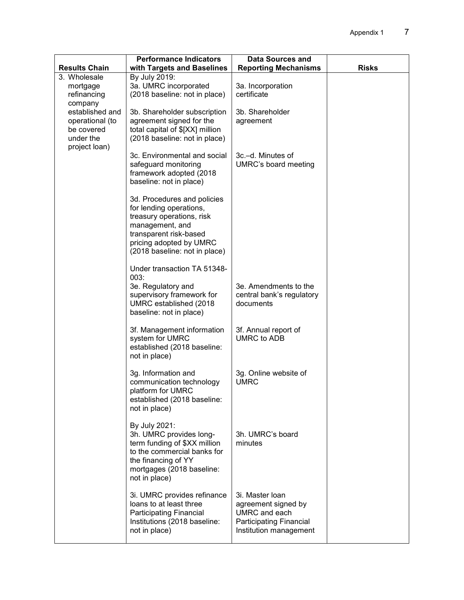|                                                                                | <b>Performance Indicators</b>                                                                                                                                                                | <b>Data Sources and</b>                                                                                      |              |
|--------------------------------------------------------------------------------|----------------------------------------------------------------------------------------------------------------------------------------------------------------------------------------------|--------------------------------------------------------------------------------------------------------------|--------------|
| <b>Results Chain</b><br>3. Wholesale                                           | with Targets and Baselines<br>By July 2019:                                                                                                                                                  | <b>Reporting Mechanisms</b>                                                                                  | <b>Risks</b> |
| mortgage<br>refinancing<br>company                                             | 3a. UMRC incorporated<br>(2018 baseline: not in place)                                                                                                                                       | 3a. Incorporation<br>certificate                                                                             |              |
| established and<br>operational (to<br>be covered<br>under the<br>project loan) | 3b. Shareholder subscription<br>agreement signed for the<br>total capital of \$[XX] million<br>(2018 baseline: not in place)                                                                 | 3b. Shareholder<br>agreement                                                                                 |              |
|                                                                                | 3c. Environmental and social<br>safeguard monitoring<br>framework adopted (2018)<br>baseline: not in place)                                                                                  | 3c.-d. Minutes of<br>UMRC's board meeting                                                                    |              |
|                                                                                | 3d. Procedures and policies<br>for lending operations,<br>treasury operations, risk<br>management, and<br>transparent risk-based<br>pricing adopted by UMRC<br>(2018 baseline: not in place) |                                                                                                              |              |
|                                                                                | Under transaction TA 51348-                                                                                                                                                                  |                                                                                                              |              |
|                                                                                | 003:<br>3e. Regulatory and<br>supervisory framework for<br>UMRC established (2018)<br>baseline: not in place)                                                                                | 3e. Amendments to the<br>central bank's regulatory<br>documents                                              |              |
|                                                                                | 3f. Management information<br>system for UMRC<br>established (2018 baseline:<br>not in place)                                                                                                | 3f. Annual report of<br><b>UMRC to ADB</b>                                                                   |              |
|                                                                                | 3g. Information and<br>communication technology<br>platform for UMRC<br>established (2018 baseline:<br>not in place)                                                                         | 3g. Online website of<br><b>UMRC</b>                                                                         |              |
|                                                                                | By July 2021:<br>3h. UMRC provides long-<br>term funding of \$XX million<br>to the commercial banks for<br>the financing of YY<br>mortgages (2018 baseline:<br>not in place)                 | 3h. UMRC's board<br>minutes                                                                                  |              |
|                                                                                | 3i. UMRC provides refinance<br>loans to at least three<br><b>Participating Financial</b><br>Institutions (2018 baseline:<br>not in place)                                                    | 3i. Master Ioan<br>agreement signed by<br>UMRC and each<br>Participating Financial<br>Institution management |              |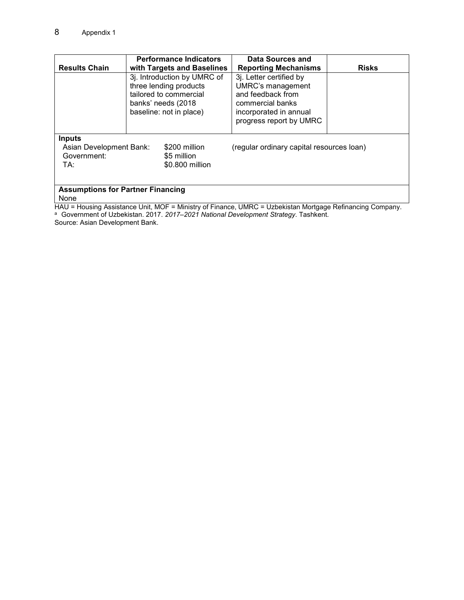|                                                                                                                                                                | <b>Performance Indicators</b>                                                                                                     | Data Sources and                                                                                                                           |              |  |
|----------------------------------------------------------------------------------------------------------------------------------------------------------------|-----------------------------------------------------------------------------------------------------------------------------------|--------------------------------------------------------------------------------------------------------------------------------------------|--------------|--|
| <b>Results Chain</b><br>with Targets and Baselines                                                                                                             |                                                                                                                                   | <b>Reporting Mechanisms</b>                                                                                                                | <b>Risks</b> |  |
|                                                                                                                                                                | 3j. Introduction by UMRC of<br>three lending products<br>tailored to commercial<br>banks' needs (2018)<br>baseline: not in place) | 3j. Letter certified by<br>UMRC's management<br>and feedback from<br>commercial banks<br>incorporated in annual<br>progress report by UMRC |              |  |
| <b>Inputs</b><br>Asian Development Bank:<br>\$200 million<br>(regular ordinary capital resources loan)<br>Government:<br>\$5 million<br>\$0.800 million<br>TA: |                                                                                                                                   |                                                                                                                                            |              |  |
| <b>Assumptions for Partner Financing</b><br>None<br>HAU = Housing Assistance Unit, MOF = Ministry of Finance, UMRC = Uzbekistan Mortgage Refinancing Company   |                                                                                                                                   |                                                                                                                                            |              |  |

HAU = Housing Assistance Unit, MOF = Ministry of Finance, UMRC = Uzbekistan Mortgage Refinancing Company. <sup>a</sup> Government of Uzbekistan. 2017. 2017–2021 National Development Strategy. Tashkent.

Source: Asian Development Bank.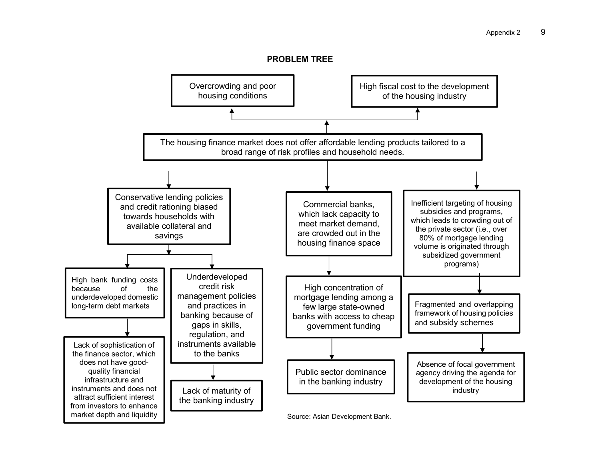